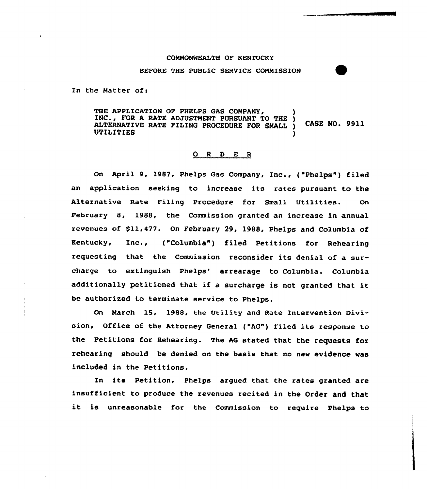## CONNONWEALTH OF KENTUCKY

## BEFORE THE PUBLIC SERVICE CONNISSION

In the Matter of:

THE APPLICATION OF PHELPS GAS COMPANY, INC., FOR A RATE ADJUSTMENT PURSUANT TO THE ) ALTERNATIVE RATE FILING PROCEDURE FOR SMALL ) CASE NO. 99ll UTILITIES )

## 0 <sup>R</sup> <sup>D</sup> E <sup>R</sup>

On April 9, 1987, Phelps Gas Company, Inc., ("Phelps") filed an application seeking to increase its rates pursuant to the Alternative Rate Filing Procedure for Small Utilities. On. February 8, 1988, the Commission granted an increase in annual revenues of \$11,477. On February 29, 1988, Phelps and Columbia of Kentucky, Inc., ("Columbia" ) filed Petitions for Rehearing requesting that the Commission reconsider its denial of a surcharge to extinguish Phelps' arrearage to Columbia. Columbia additionally petitioned that if <sup>a</sup> surcharge is not granted that it be authorized to terminate service to Phelps.

On Narch 15, 1988. the Utility and Rate Intervention Division, Office of the Attorney General ("AG") filed its response to the Petitions for Rehearing. The AG stated that the requests for rehearing should be denied on the basis that no new evidence was included in the Petitions.

In its Petition, Phelps argued that the rates granted are insufficient to produce the revenues recited in the Order and that it is unreasonable for the Commission to require Phelps to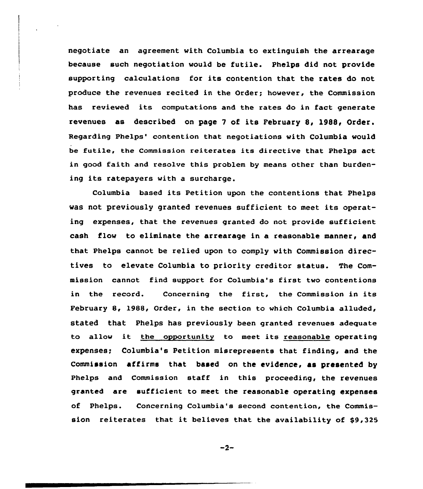negotiate an agreement with Columbia to extinguish the arrearage because such negotiation would be futile. Phelps did not provide supporting calculations for its contention that the rates do not produce the revenues recited in the Order; however, the Commission has reviewed its computations and the rates do in fact generate revenues as described on page <sup>7</sup> of its February 8, 1988, Order. Regarding Phelps' contention that negotiations with Columbia would be futile, the Commission reiterates its directive that Phelps act in good faith and resolve this problem by means other than burdening its ratepayers with a surcharge,

Columbia based its Petition upon the contentions that Phelps was not previously granted revenues sufficient to meet its operating expenses, that the revenues granted do not provide sufficient cash flow to eliminate the arrearage in a reasonable manner, and that Phelps cannot be relied upon to comply with Commission directives to elevate Columbia to priority creditor status. The Commission cannot find support for Columbia's first two contentions in the record. Concerning the first, the Commission in its February 8, l988, Order, in the section to which Columbia alluded, stated that Phelps has previously been granted revenues adequate to allow it the opportunity to meet its reasonable operating expenses; Columbia's Petition misrepresents that finding, and the Commission affirms that based on the evidence, as presented by Phelps and Commission staff in this proceeding, the revenues granted are sufficient to meet the reasonable operating expenses of Phelps. Concerning Columbia's second contention, the Commission reiterates that it believes that the availability of \$9,325

$$
-2-
$$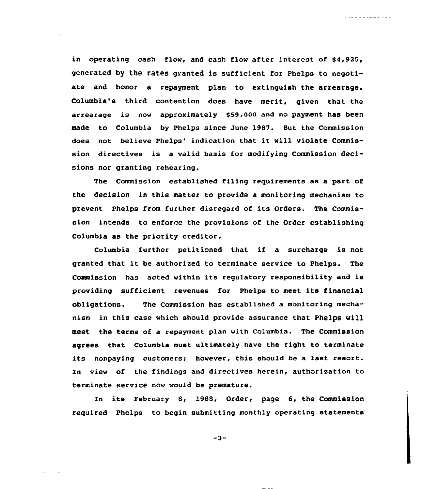in operating cash flow, and cash flow after interest of  $$4,925$ , generated by the rates granted is sufficient for Phelps to negotiate and honor a repayment plan to extinguish the arrearage. Columbia's third contention does have merit, given that the arrearage is now approximately \$59,000 and no payment has been made to Columbia by Phelps since June 1987. But the Commission does not believe Phelps' indication that it will violate Commission directives is a valid basis for modifying Commission decisions nor granting rehearing.

والمناور المراسي والمراسيات

The Commission established filing requirements as a part of the decision in this matter to provide a monitoring mechanism to prevent Phelps from further disregard of its Orders. The Commission intends to enforce the provisions of the Order establishing Columbia as the priority creditor.

Columbia further petitioned that if <sup>a</sup> surcharge is not granted that it be authorized to terminate service to Phelps. The Commission has acted within its regulatory responsibility and is providing sufficient revenues for Phelps to meet its financial obligations. The Commission has established a monitoring mechanism in this case which should provide assurance that Phelps will Eeet the terms of a repayment plan with Columbia. The Commission agrees that Columbia must ultimately have the right to terminate its nonpaying customers; however, this should be a last resort. In view of the findings and directives herein, authorization to terminate service now would be premature.

In its February 8, 1988, Order, page 6, the Commission required Phelps to begin submitting monthly operating statements

 $-3-$